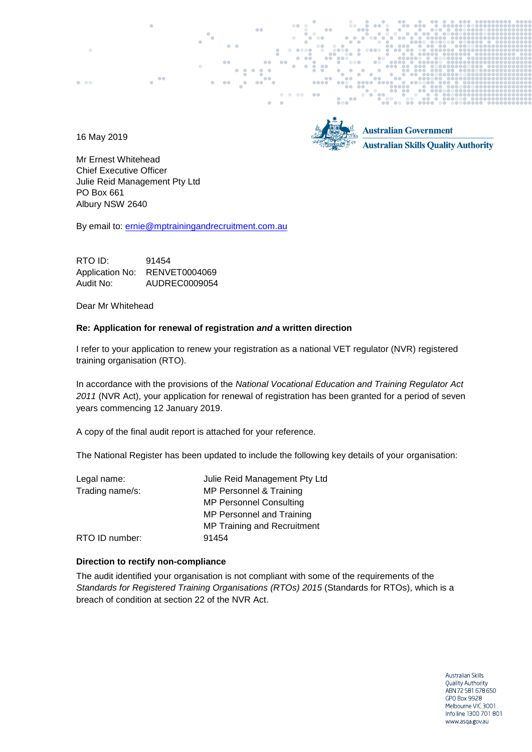16 May 2019

 $\bullet$  and



**Australian Government Australian Skills Quality Authority** 

Mr Ernest Whitehead Chief Executive Officer Julie Reid Management Pty Ltd PO Box 661 Albury NSW 2640

By email to: [ernie@mptrainingandrecruitment.com.au](mailto:ernie@mptrainingandrecruitment.com.au)

RTO ID: 91454 Application No: RENVET0004069 Audit No: AUDREC0009054

Dear Mr Whitehead

### **Re: Application for renewal of registration** *and* **a written direction**

I refer to your application to renew your registration as a national VET regulator (NVR) registered training organisation (RTO).

In accordance with the provisions of the *National Vocational Education and Training Regulator Act 2011* (NVR Act), your application for renewal of registration has been granted for a period of seven years commencing 12 January 2019.

A copy of the final audit report is attached for your reference.

The National Register has been updated to include the following key details of your organisation:

| Legal name:     | Julie Reid Management Pty Ltd  |
|-----------------|--------------------------------|
| Trading name/s: | MP Personnel & Training        |
|                 | <b>MP Personnel Consulting</b> |
|                 | MP Personnel and Training      |
|                 | MP Training and Recruitment    |
| RTO ID number:  | 91454                          |

#### **Direction to rectify non-compliance**

The audit identified your organisation is not compliant with some of the requirements of the *[Standards for Registered Training Organisations](https://www.legislation.gov.au/Details/F2017C00663) (RTOs) 2015* (Standards for RTOs), which is a breach of condition at section 22 of the NVR Act.

> **Australian Skills** Quality Authority ABN 72 581 678 650 GPO Box 9928 Melbourne VIC 3001 Info line 1300 701 801 www.asqa.gov.au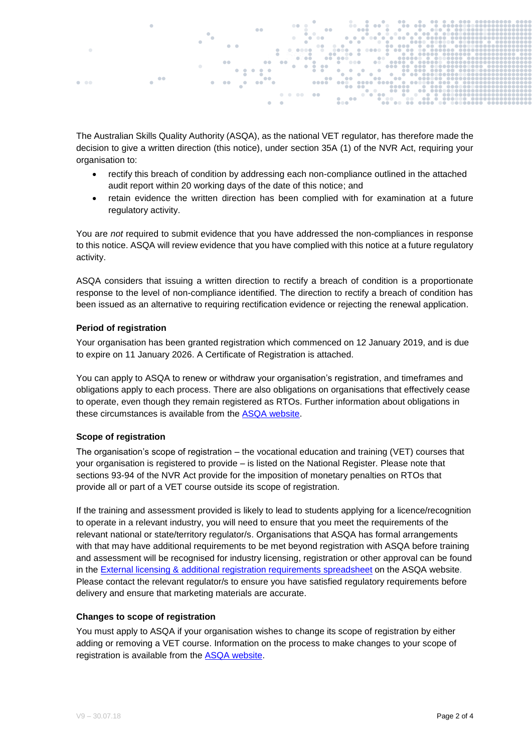

The Australian Skills Quality Authority (ASQA), as the national VET regulator, has therefore made the decision to give a written direction (this notice), under section 35A (1) of the NVR Act, requiring your organisation to:

- rectify this breach of condition by addressing each non-compliance outlined in the attached audit report within 20 working days of the date of this notice; and
- retain evidence the written direction has been complied with for examination at a future regulatory activity.

You are *not* required to submit evidence that you have addressed the non-compliances in response to this notice. ASQA will review evidence that you have complied with this notice at a future regulatory activity.

ASQA considers that issuing a written direction to rectify a breach of condition is a proportionate response to the level of non-compliance identified. The direction to rectify a breach of condition has been issued as an alternative to requiring rectification evidence or rejecting the renewal application.

### **Period of registration**

Your organisation has been granted registration which commenced on 12 January 2019, and is due to expire on 11 January 2026. A Certificate of Registration is attached.

You can apply to ASQA to renew or withdraw your organisation's registration, and timeframes and obligations apply to each process. There are also obligations on organisations that effectively cease to operate, even though they remain registered as RTOs. Further information about obligations in these circumstances is available from the **ASQA** website.

#### **Scope of registration**

The organisation's scope of registration – the vocational education and training (VET) courses that your organisation is registered to provide – is listed on the National Register. Please note that sections 93-94 of the NVR Act provide for the imposition of monetary penalties on RTOs that provide all or part of a VET course outside its scope of registration.

If the training and assessment provided is likely to lead to students applying for a licence/recognition to operate in a relevant industry, you will need to ensure that you meet the requirements of the relevant national or state/territory regulator/s. Organisations that ASQA has formal arrangements with that may have additional requirements to be met beyond registration with ASQA before training and assessment will be recognised for industry licensing, registration or other approval can be found in the [External licensing & additional registration requirements spreadsheet](http://www.asqa.gov.au/vet-registration/understand-the-requirements-for-registration/other-licensing-and-registration-requirements.html) on the ASQA website. Please contact the relevant regulator/s to ensure you have satisfied regulatory requirements before delivery and ensure that marketing materials are accurate.

#### **Changes to scope of registration**

You must apply to ASQA if your organisation wishes to change its scope of registration by either adding or removing a VET course. Information on the process to make changes to your scope of registration is available from the [ASQA website.](https://www.asqa.gov.au/vet-registration/make-changes-registration)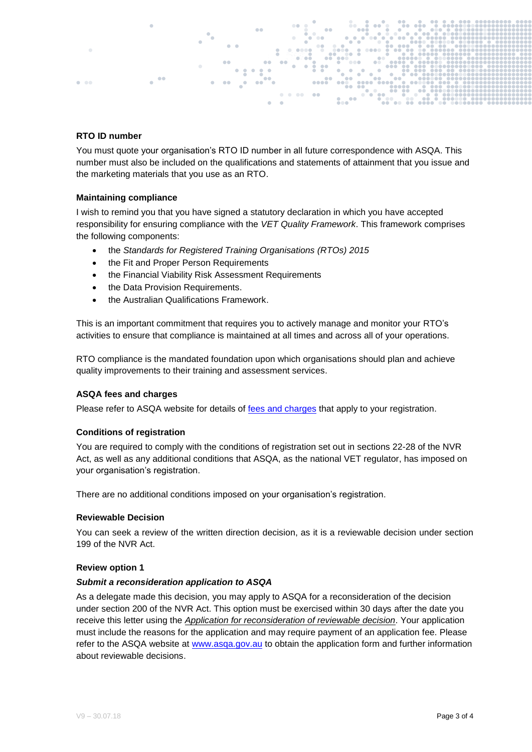# **RTO ID number**

 $\sim$  0.00

You must quote your organisation's RTO ID number in all future correspondence with ASQA. This number must also be included on the qualifications and statements of attainment that you issue and the marketing materials that you use as an RTO.

### **Maintaining compliance**

I wish to remind you that you have signed a statutory declaration in which you have accepted responsibility for ensuring compliance with the *VET Quality Framework*. This framework comprises the following components:

- the *Standards for Registered Training Organisations (RTOs) 2015*
- the Fit and Proper Person Requirements
- the Financial Viability Risk Assessment Requirements
- the Data Provision Requirements.
- the Australian Qualifications Framework.

This is an important commitment that requires you to actively manage and monitor your RTO's activities to ensure that compliance is maintained at all times and across all of your operations.

RTO compliance is the mandated foundation upon which organisations should plan and achieve quality improvements to their training and assessment services.

#### **ASQA fees and charges**

Please refer to ASQA website for details of [fees and charges](http://www.asqa.gov.au/about/fees-and-charges/fees-and-charges1.html) that apply to your registration.

#### **Conditions of registration**

You are required to comply with the conditions of registration set out in sections 22-28 of the NVR Act, as well as any additional conditions that ASQA, as the national VET regulator, has imposed on your organisation's registration.

There are no additional conditions imposed on your organisation's registration.

#### **Reviewable Decision**

You can seek a review of the written direction decision, as it is a reviewable decision under section 199 of the NVR Act.

#### **Review option 1**

#### *Submit a reconsideration application to ASQA*

As a delegate made this decision, you may apply to ASQA for a reconsideration of the decision under section 200 of the NVR Act. This option must be exercised within 30 days after the date you receive this letter using the *Application for reconsideration of reviewable decision*. Your application must include the reasons for the application and may require payment of an application fee. Please refer to the ASQA website at [www.asqa.gov.au](http://www.asqa.gov.au/) to obtain the application form and further information about reviewable decisions.